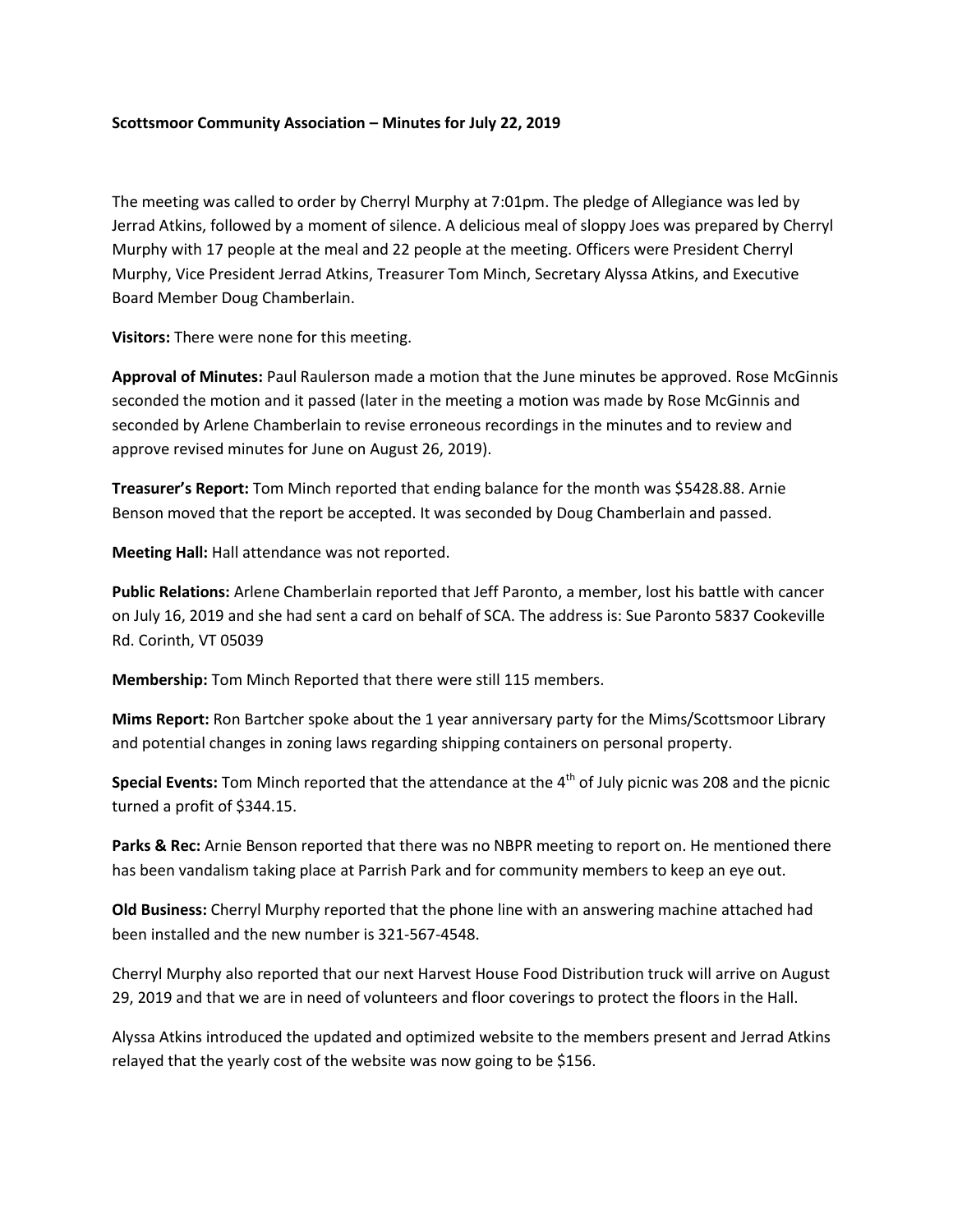## **Scottsmoor Community Association – Minutes for July 22, 2019**

The meeting was called to order by Cherryl Murphy at 7:01pm. The pledge of Allegiance was led by Jerrad Atkins, followed by a moment of silence. A delicious meal of sloppy Joes was prepared by Cherryl Murphy with 17 people at the meal and 22 people at the meeting. Officers were President Cherryl Murphy, Vice President Jerrad Atkins, Treasurer Tom Minch, Secretary Alyssa Atkins, and Executive Board Member Doug Chamberlain.

**Visitors:** There were none for this meeting.

**Approval of Minutes:** Paul Raulerson made a motion that the June minutes be approved. Rose McGinnis seconded the motion and it passed (later in the meeting a motion was made by Rose McGinnis and seconded by Arlene Chamberlain to revise erroneous recordings in the minutes and to review and approve revised minutes for June on August 26, 2019).

**Treasurer's Report:** Tom Minch reported that ending balance for the month was \$5428.88. Arnie Benson moved that the report be accepted. It was seconded by Doug Chamberlain and passed.

**Meeting Hall:** Hall attendance was not reported.

**Public Relations:** Arlene Chamberlain reported that Jeff Paronto, a member, lost his battle with cancer on July 16, 2019 and she had sent a card on behalf of SCA. The address is: Sue Paronto 5837 Cookeville Rd. Corinth, VT 05039

**Membership:** Tom Minch Reported that there were still 115 members.

**Mims Report:** Ron Bartcher spoke about the 1 year anniversary party for the Mims/Scottsmoor Library and potential changes in zoning laws regarding shipping containers on personal property.

**Special Events:** Tom Minch reported that the attendance at the 4<sup>th</sup> of July picnic was 208 and the picnic turned a profit of \$344.15.

**Parks & Rec:** Arnie Benson reported that there was no NBPR meeting to report on. He mentioned there has been vandalism taking place at Parrish Park and for community members to keep an eye out.

**Old Business:** Cherryl Murphy reported that the phone line with an answering machine attached had been installed and the new number is 321-567-4548.

Cherryl Murphy also reported that our next Harvest House Food Distribution truck will arrive on August 29, 2019 and that we are in need of volunteers and floor coverings to protect the floors in the Hall.

Alyssa Atkins introduced the updated and optimized website to the members present and Jerrad Atkins relayed that the yearly cost of the website was now going to be \$156.